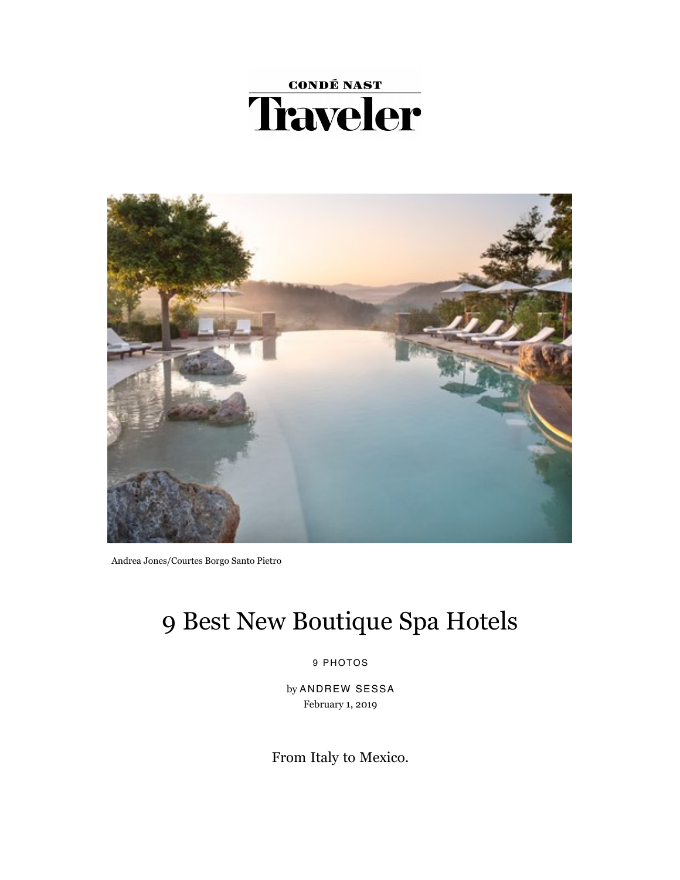



Andrea Jones/Courtes Borgo Santo Pietro

# 9 Best New Boutique Spa Hotels

9 PHOTOS

by ANDREW SESSA February 1, 2019

From Italy to Mexico.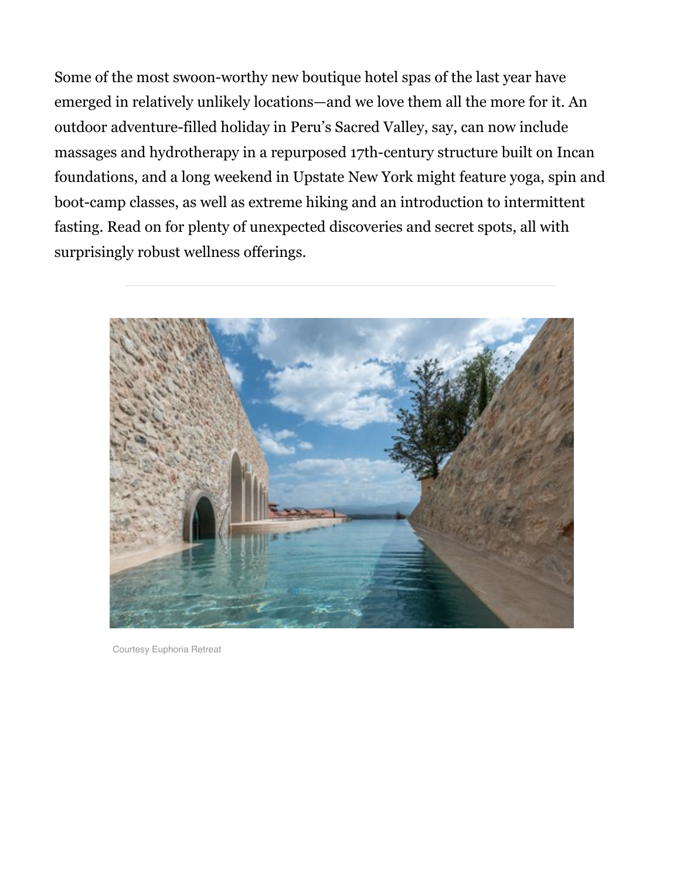Some of the most swoon-worthy new boutique hotel spas of the last year have emerged in relatively unlikely locations—and we love them all the more for it. An outdoor adventure-filled holiday in Peru's Sacred Valley, say, can now include massages and hydrotherapy in a repurposed 17th-century structure built on Incan foundations, and a long weekend in Upstate New York might feature yoga, spin and boot-camp classes, as well as extreme hiking and an introduction to intermittent fasting. Read on for plenty of unexpected discoveries and secret spots, all with surprisingly robust wellness offerings.



Courtesy Euphoria Retreat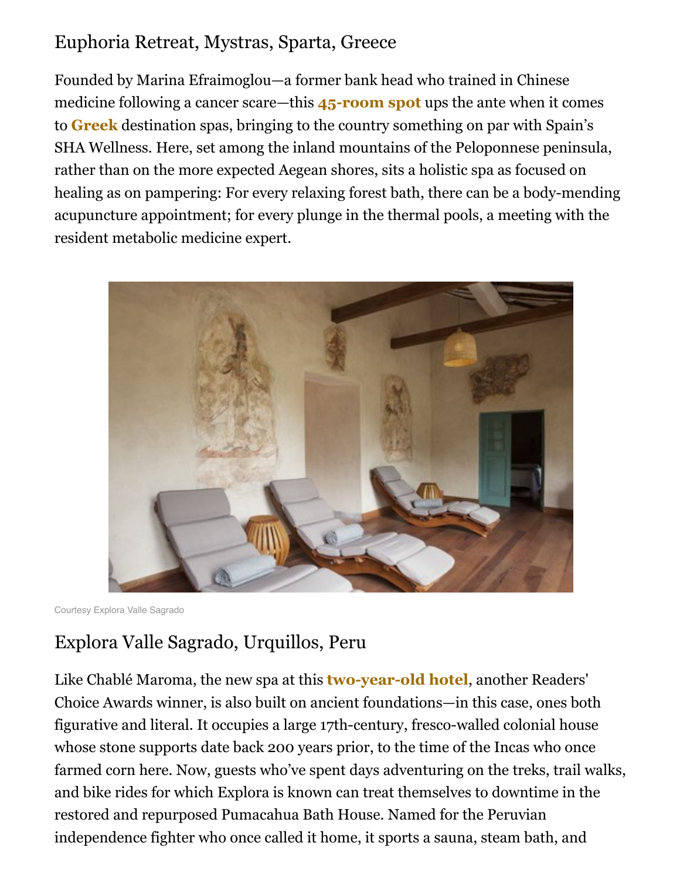### Euphoria Retreat, Mystras, Sparta, Greece

Founded by Marina Efraimoglou—a former bank head who trained in Chinese medicine following a cancer scare—this **45-room spot** ups the ante when it comes to **[Greek](https://www.cntraveler.com/gallery/reasons-to-visit-the-greek-islands)** destination spas, bringing to the country something on par with Spain's SHA Wellness. Here, set among the inland mountains of the Peloponnese peninsula, rather than on the more expected Aegean shores, sits a holistic spa as focused on healing as on pampering: For every relaxing forest bath, there can be a body-mending acupuncture appointment; for every plunge in the thermal pools, a meeting with the resident metabolic medicine expert.



Courtesy Explora Valle Sagrado

# Explora Valle Sagrado, Urquillos, Peru

Like Chablé Maroma, the new spa at this **two-year-old hotel**, another Readers' Choice Awards winner, is also built on ancient foundations—in this case, ones both figurative and literal. It occupies a large 17th-century, fresco-walled colonial house whose stone supports date back 200 years prior, to the time of the Incas who once farmed corn here. Now, guests who've spent days adventuring on the treks, trail walks, and bike rides for which Explora is known can treat themselves to downtime in the restored and repurposed Pumacahua Bath House. Named for the Peruvian independence fighter who once called it home, it sports a sauna, steam bath, and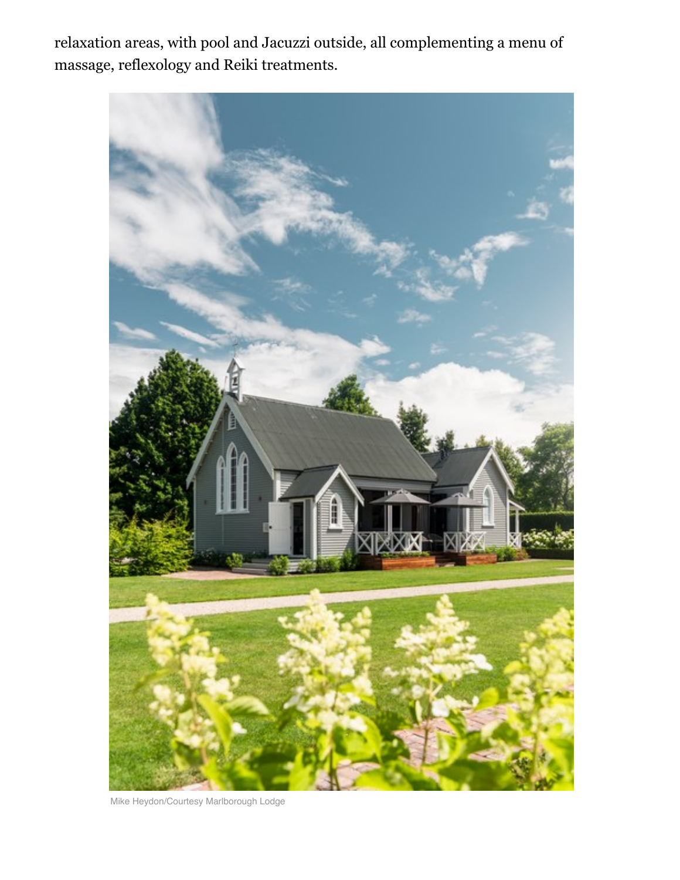relaxation areas, with pool and Jacuzzi outside, all complementing a menu of massage, reflexology and Reiki treatments.



Mike Heydon/Courtesy Marlborough Lodge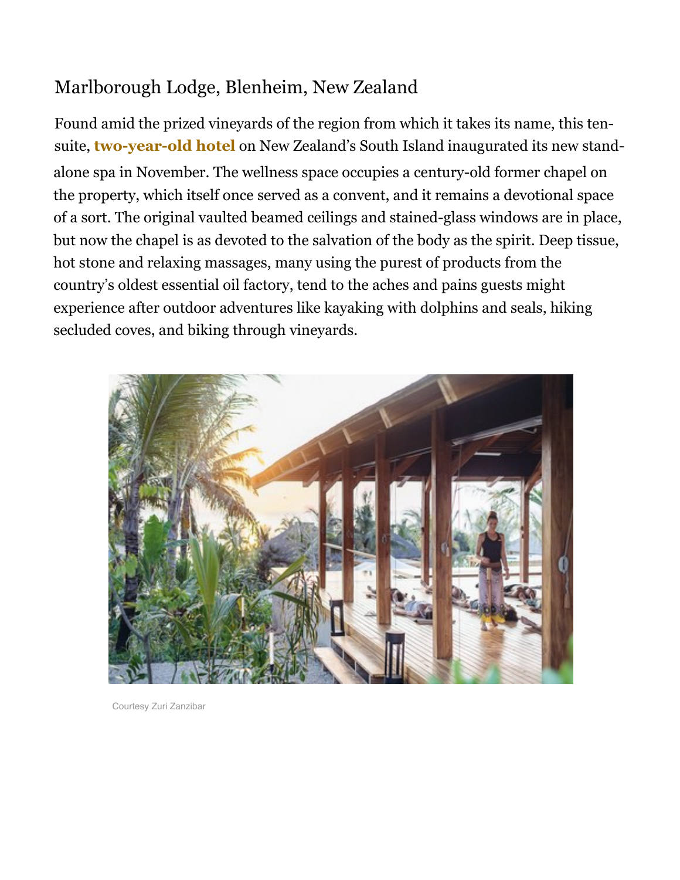## Marlborough Lodge, Blenheim, New Zealand

Found amid the prized vineyards of the region from which it takes its name, this tensuite, **two-year-old hotel** on New Zealand's South Island inaugurated its new standalone spa in November. The wellness space occupies a century-old former chapel on the property, which itself once served as a convent, and it remains a devotional space of a sort. The original vaulted beamed ceilings and stained-glass windows are in place, but now the chapel is as devoted to the salvation of the body as the spirit. Deep tissue, hot stone and relaxing massages, many using the purest of products from the country's oldest essential oil factory, tend to the aches and pains guests might experience after outdoor adventures like kayaking with dolphins and seals, hiking secluded coves, and biking through vineyards.



Courtesy Zuri Zanzibar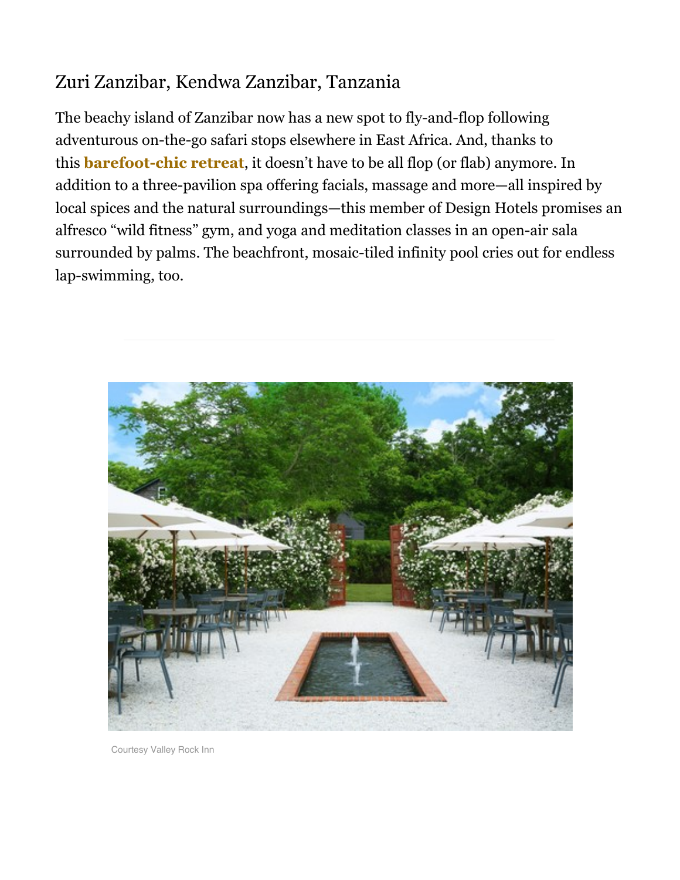## Zuri Zanzibar, Kendwa Zanzibar, Tanzania

The beachy island of Zanzibar now has a new spot to fly-and-flop following adventurous on-the-go safari stops elsewhere in East Africa. And, thanks to this **barefoot-chic retreat**, it doesn't have to be all flop (or flab) anymore. In addition to a three-pavilion spa offering facials, massage and more—all inspired by local spices and the natural surroundings—this member of Design Hotels promises an alfresco "wild fitness" gym, and yoga and meditation classes in an open-air sala surrounded by palms. The beachfront, mosaic-tiled infinity pool cries out for endless lap-swimming, too.



Courtesy Valley Rock Inn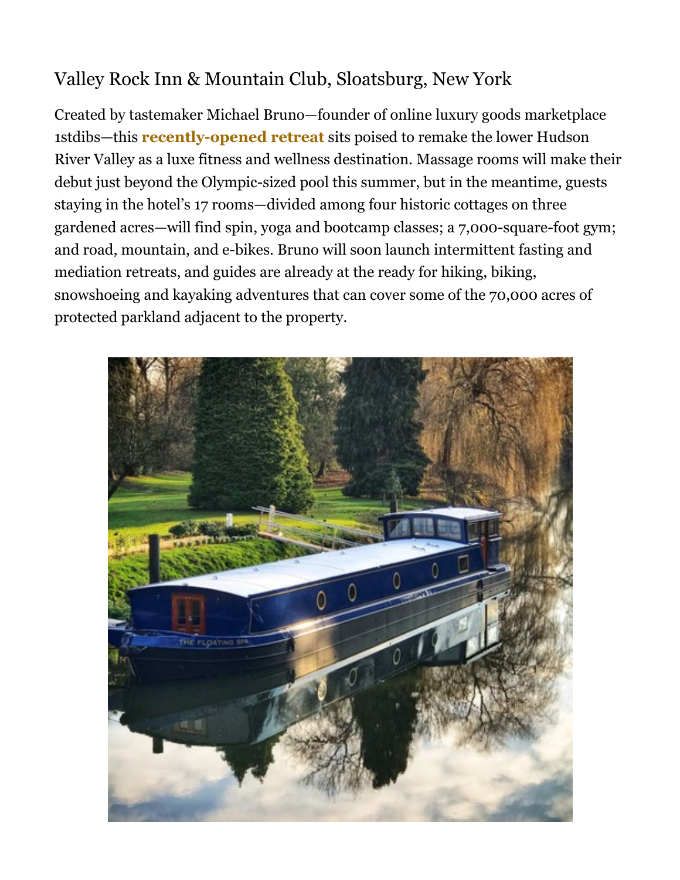# Valley Rock Inn & Mountain Club, Sloatsburg, New York

Created by tastemaker Michael Bruno—founder of online luxury goods marketplace 1stdibs—this **recently-opened retreat** sits poised to remake the lower Hudson River Valley as a luxe fitness and wellness destination. Massage rooms will make their debut just beyond the Olympic-sized pool this summer, but in the meantime, guests staying in the hotel's 17 rooms—divided among four historic cottages on three gardened acres—will find spin, yoga and bootcamp classes; a 7,000-square-foot gym; and road, mountain, and e-bikes. Bruno will soon launch intermittent fasting and mediation retreats, and guides are already at the ready for hiking, biking, snowshoeing and kayaking adventures that can cover some of the 70,000 acres of protected parkland adjacent to the property.

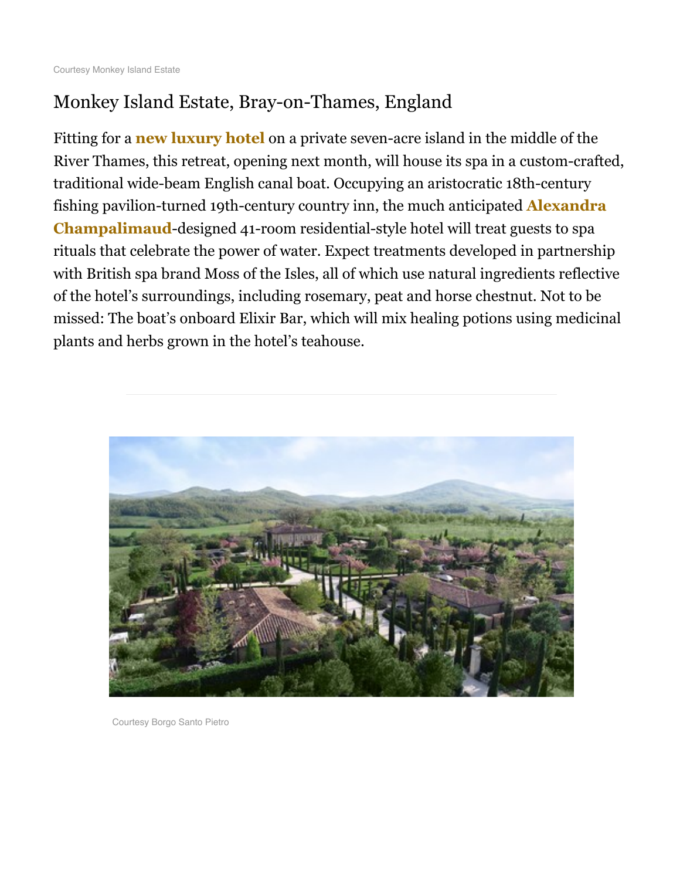### Monkey Island Estate, Bray-on-Thames, England

Fitting for a **new luxury hotel** on a private seven-acre island in the middle of the River Thames, this retreat, opening next month, will house its spa in a custom-crafted, traditional wide-beam English canal boat. Occupying an aristocratic 18th-century fishing pavilion-turned 19th-century country inn, the much anticipated **Alexandra Champalimaud**-designed 41-room residential-style hotel will treat guests to spa rituals that celebrate the power of water. Expect treatments developed in partnership with British spa brand Moss of the Isles, all of which use natural ingredients reflective of the hotel's surroundings, including rosemary, peat and horse chestnut. Not to be missed: The boat's onboard Elixir Bar, which will mix healing potions using medicinal plants and herbs grown in the hotel's teahouse.



Courtesy Borgo Santo Pietro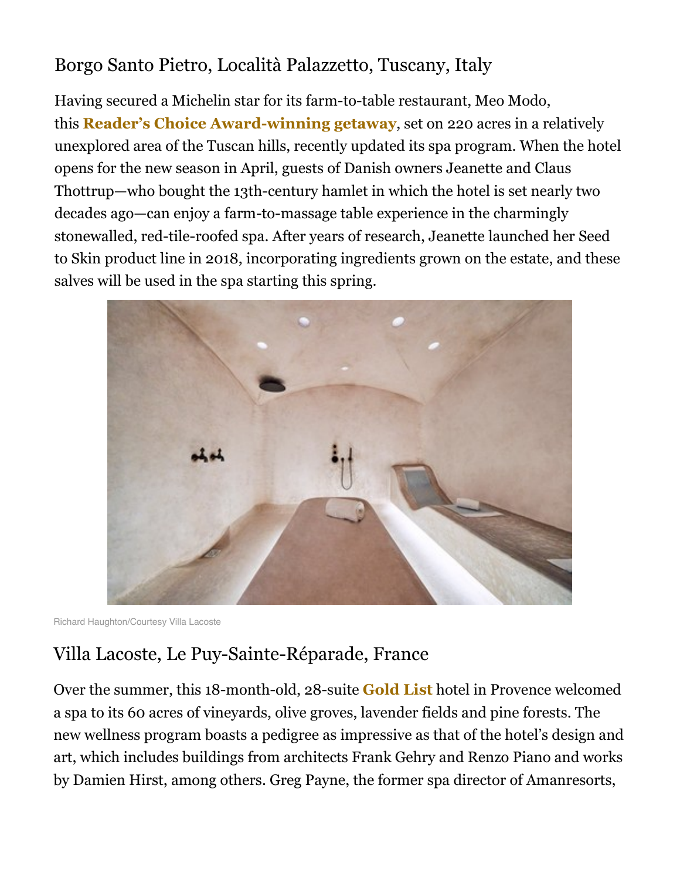### Borgo Santo Pietro, Località Palazzetto, Tuscany, Italy

Having secured a Michelin star for its farm-to-table restaurant, Meo Modo, this **Reader's Choice Award-winning getaway**, set on 220 acres in a relatively unexplored area of the Tuscan hills, recently updated its spa program. When the hotel opens for the new season in April, guests of Danish owners Jeanette and Claus Thottrup—who bought the 13th-century hamlet in which the hotel is set nearly two decades ago—can enjoy a farm-to-massage table experience in the charmingly stonewalled, red-tile-roofed spa. After years of research, Jeanette launched her Seed to Skin product line in 2018, incorporating ingredients grown on the estate, and these salves will be used in the spa starting this spring.



Richard Haughton/Courtesy Villa Lacoste

#### Villa Lacoste, Le Puy-Sainte-Réparade, France

Over the summer, this 18-month-old, 28-suite **Gold List** hotel in Provence welcomed a spa to its 60 acres of vineyards, olive groves, lavender fields and pine forests. The new wellness program boasts a pedigree as impressive as that of the hotel's design and art, which includes buildings from architects Frank Gehry and Renzo Piano and works by Damien Hirst, among others. Greg Payne, the former spa director of Amanresorts,